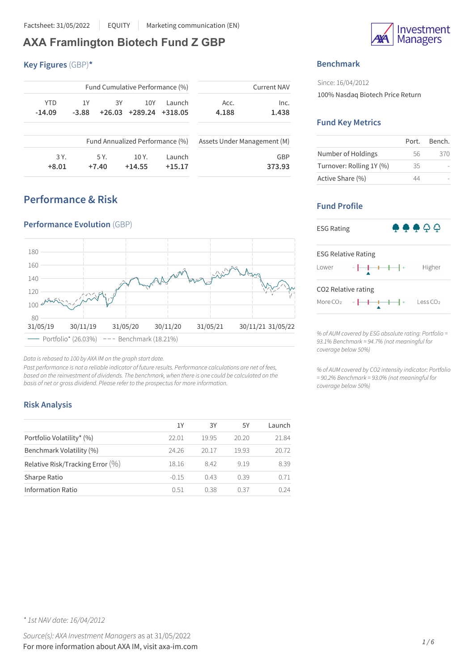# **AXA Framlington Biotech Fund Z GBP**

**Key Figures** (GBP)**\***

| <b>Current NAV</b> |                             | Fund Cumulative Performance (%) |                                 |          |         |            |  |
|--------------------|-----------------------------|---------------------------------|---------------------------------|----------|---------|------------|--|
| Inc.               | Acc.                        | Launch                          | 10Y                             | 3Υ       | 1Y      | <b>YTD</b> |  |
| 1.438              | 4.188                       | +318.05                         | $+289.24$                       | $+26.03$ | $-3.88$ | $-14.09$   |  |
|                    | Assets Under Management (M) |                                 | Fund Annualized Performance (%) |          |         |            |  |
| GBP                |                             | Launch                          | 10 Y.                           | 5 Y.     |         | 3 Y.       |  |
|                    |                             | $+15.17$                        | $+14.55$                        | $+7.40$  |         | +8.01      |  |

# **Performance & Risk**



*Data isrebased to 100 by AXA IM on the graph start date.*

*Past performance is not a reliable indicator of future results. Performance calculations are net of fees, based on the reinvestment of dividends. The benchmark, when there is one could be calculated on the basis of net or gross dividend. Please refer to the prospectusfor more information.*

# **Risk Analysis**

|                                      | 1Y      | 3Y    | 5Y    | Launch |
|--------------------------------------|---------|-------|-------|--------|
| Portfolio Volatility* (%)            | 22.01   | 1995  | 20.20 | 2184   |
| Benchmark Volatility (%)             | 24.26   | 20.17 | 19.93 | 20.72  |
| Relative Risk/Tracking Error $(\% )$ | 18.16   | 8.42  | 9.19  | 8.39   |
| Sharpe Ratio                         | $-0.15$ | 0.43  | 0.39  | 0.71   |
| <b>Information Ratio</b>             | 0.51    | 0.38  | 0.37  | በ 24   |



# **Benchmark**

Since: 16/04/2012 100% Nasdaq Biotech Price Return

#### **Fund Key Metrics**

|                          | Port. | Bench. |
|--------------------------|-------|--------|
| Number of Holdings       | 56    | 370    |
| Turnover: Rolling 1Y (%) | 35    |        |
| Active Share (%)         |       |        |

## **Fund Profile**



*% of AUM covered by ESG absolute rating: Portfolio = 93.1% Benchmark = 94.7% (not meaningful for coverage below 50%)*

*% of AUM covered by CO2 intensity indicator: Portfolio = 90.2% Benchmark = 93.0% (not meaningful for coverage below 50%)*

*\* 1st NAV date: 16/04/2012*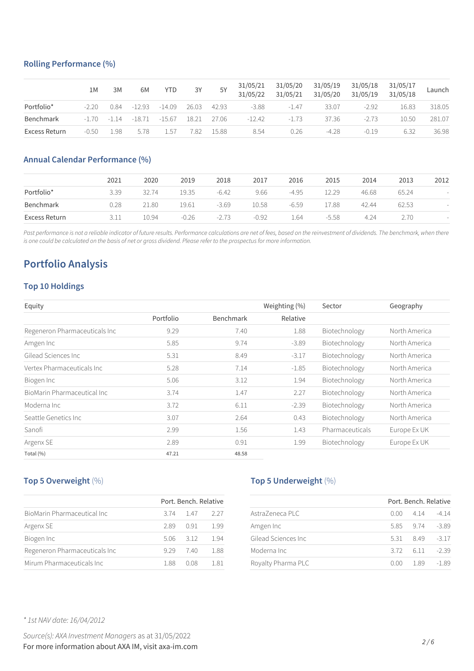## **Rolling Performance (%)**

|               | 1M      | 3M          | 6M     | <b>YTD</b> | 3Y          | 5Y    | 31/05/21<br>31/05/22 | 31/05/20<br>31/05/21 | 31/05/19<br>31/05/20 | 31/05/18<br>31/05/19 | 31/05/17<br>31/05/18 | Launch |
|---------------|---------|-------------|--------|------------|-------------|-------|----------------------|----------------------|----------------------|----------------------|----------------------|--------|
| Portfolio*    | $-2.20$ | 0.84        | -12.93 | -14.09     | 26.03       | 42.93 | $-3.88$              | $-1.47$              | 33.07                | $-292$               | 16.83                | 318.05 |
| Benchmark     |         | -1.70 -1.14 | -18.71 | -15.67     | 18.21 27.06 |       | -12.42               | $-1.73$              | 37.36                | $-2.73$              | 10.50                | 281.07 |
| Excess Return | -0.50   | 1.98        | 5.78   | 1.57       | -7.82       | 15.88 | 8.54                 | 0.26                 | $-4.28$              | $-0.19$              | 6.32                 | 36.98  |

## **Annual Calendar Performance (%)**

|               | 2021 | 2020  | 2019    | 2018    | 2017    | 2016    | 2015    | 2014  | 2013  | 2012 |
|---------------|------|-------|---------|---------|---------|---------|---------|-------|-------|------|
| Portfolio*    | 3.39 | 32.74 | 19.35   | $-6.42$ | 9.66    | $-4.95$ | 12.29   | 46.68 | 65.24 |      |
| Benchmark     | 0.28 | 21.80 | 19.61   | $-3.69$ | 10.58   | $-6.59$ | 17.88   | 42.44 | 62.53 |      |
| Excess Return | 3.11 | 10.94 | $-0.26$ | $-2.73$ | $-0.92$ | 1.64    | $-5.58$ | 4.24  | 2.70  |      |

Past performance is not a reliable indicator of future results. Performance calculations are net of fees, based on the reinvestment of dividends. The benchmark, when there is one could be calculated on the basis of net or gross dividend. Please refer to the prospectus for more information.

# **Portfolio Analysis**

#### **Top 10 Holdings**

| Equity                        |           |           | Weighting (%) | Sector          | Geography     |
|-------------------------------|-----------|-----------|---------------|-----------------|---------------|
|                               |           |           |               |                 |               |
|                               | Portfolio | Benchmark | Relative      |                 |               |
| Regeneron Pharmaceuticals Inc | 9.29      | 7.40      | 1.88          | Biotechnology   | North America |
| Amgen Inc                     | 5.85      | 9.74      | $-3.89$       | Biotechnology   | North America |
| Gilead Sciences Inc           | 5.31      | 8.49      | $-3.17$       | Biotechnology   | North America |
| Vertex Pharmaceuticals Inc    | 5.28      | 7.14      | $-1.85$       | Biotechnology   | North America |
| Biogen Inc                    | 5.06      | 3.12      | 1.94          | Biotechnology   | North America |
| BioMarin Pharmaceutical Inc   | 3.74      | 1.47      | 2.27          | Biotechnology   | North America |
| Moderna Inc                   | 3.72      | 6.11      | $-2.39$       | Biotechnology   | North America |
| Seattle Genetics Inc.         | 3.07      | 2.64      | 0.43          | Biotechnology   | North America |
| Sanofi                        | 2.99      | 1.56      | 1.43          | Pharmaceuticals | Europe Ex UK  |
| Argenx SE                     | 2.89      | 0.91      | 1.99          | Biotechnology   | Europe Ex UK  |
| Total (%)                     | 47.21     | 48.58     |               |                 |               |

# **Top 5 Overweight** (%)

|                               |      | Port, Bench, Relative |      |
|-------------------------------|------|-----------------------|------|
| BioMarin Pharmaceutical Inc.  | 3.74 | 147                   | 227  |
| Argenx SE                     | 289  | 091                   | 1.99 |
| Biogen Inc                    | 506  | -3.12                 | 194  |
| Regeneron Pharmaceuticals Inc | 929  | 740                   | 188  |
| Mirum Pharmaceuticals Inc.    | 1.88 | 0 O.S                 | 181  |

#### **Top 5 Underweight** (%)

|                      |      |           | Port, Bench, Relative |
|----------------------|------|-----------|-----------------------|
| AstraZeneca PLC      | 0.OO | 4    14   | -4 14                 |
| Amgen Inc            |      | 5.85 9.74 | -3.89                 |
| Gilead Sciences Inc. | 531  | 849       | $-317$                |
| Moderna Inc.         | 3.72 | 6.11      | -2.39                 |
| Royalty Pharma PLC   | 0 OO | 189       | -189                  |

*\* 1st NAV date: 16/04/2012*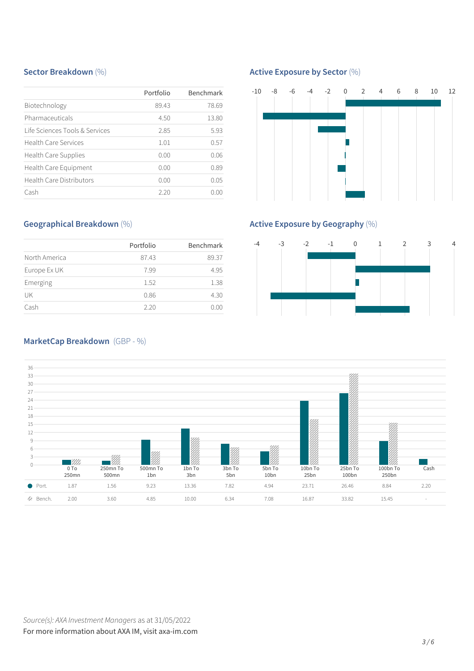#### **Sector Breakdown** (%)

|                                 | Portfolio | Benchmark |
|---------------------------------|-----------|-----------|
| Biotechnology                   | 89.43     | 78.69     |
| Pharmaceuticals                 | 4.50      | 13.80     |
| Life Sciences Tools & Services  | 2.85      | 5.93      |
| <b>Health Care Services</b>     | 1.01      | 0.57      |
| Health Care Supplies            | 0.00      | 0.06      |
| Health Care Equipment           | 0.00      | 0.89      |
| <b>Health Care Distributors</b> | 0.00      | 0.05      |
| Cash                            | 220       | n nn      |

## **Geographical Breakdown** (%)

|               | Portfolio | Benchmark |
|---------------|-----------|-----------|
| North America | 87.43     | 89.37     |
| Europe Ex UK  | 7.99      | 4.95      |
| Emerging      | 1.52      | 1.38      |
| UK            | 0.86      | 4.30      |
| Cash          | 220       | ()()()    |

#### **Active Exposure by Sector** (%)



#### **Active Exposure by Geography** (%)



#### $\frac{1}{0}$  To 250mn 250mn To 500mn **500mn To** 1bn 1bn To 3bn 3bn To 5bn 5bn To 10bn 10bn To 25bn 25bn To 100bn 100bn To 250bn Cash <sup>0</sup> 3 6 9 12 15 18  $21$ 24 27 30 33 36 Port. 1.87 1.56 9.23 13.36 7.82 4.94 23.71 26.46 8.84 2.20 Bench. 2.00 3.60 4.85 10.00 6.34 7.08 16.87 33.82 15.45 -

### **MarketCap Breakdown** (GBP - %)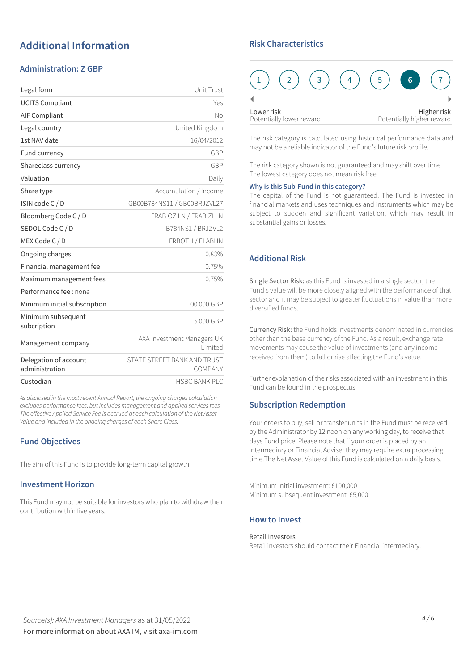# **Additional Information**

#### **Administration: Z GBP**

| Legal form                              | Unit Trust                             |
|-----------------------------------------|----------------------------------------|
| <b>UCITS Compliant</b>                  | Yes                                    |
| <b>AIF Compliant</b>                    | No                                     |
| Legal country                           | United Kingdom                         |
| 1st NAV date                            | 16/04/2012                             |
| Fund currency                           | GBP                                    |
| Shareclass currency                     | GBP                                    |
| Valuation                               | Daily                                  |
| Share type                              | Accumulation / Income                  |
| ISIN code C / D                         | GB00B784NS11 / GB00BRJZVL27            |
| Bloomberg Code C / D                    | FRABIOZ LN / FRABIZI LN                |
| SEDOL Code C / D                        | B784NS1 / BRJZVL2                      |
| MEX Code C / D                          | FRBOTH / ELABHN                        |
| Ongoing charges                         | 0.83%                                  |
| Financial management fee                | 0.75%                                  |
| Maximum management fees                 | 0.75%                                  |
| Performance fee : none                  |                                        |
| Minimum initial subscription            | 100 000 GBP                            |
| Minimum subsequent<br>subcription       | 5000 GBP                               |
| Management company                      | AXA Investment Managers UK<br>Limited  |
| Delegation of account<br>administration | STATE STREET BANK AND TRUST<br>COMPANY |
| Custodian                               | <b>HSBC BANK PLC</b>                   |
|                                         |                                        |

*As disclosed in the most recent Annual Report, the ongoing charges calculation excludes performance fees, but includes management and applied servicesfees. The effective Applied Service Fee is accrued at each calculation of the Net Asset Value and included in the ongoing charges of each Share Class.*

#### **Fund Objectives**

The aim of this Fund is to provide long-term capital growth.

#### **Investment Horizon**

This Fund may not be suitable for investors who plan to withdraw their contribution within five years.

#### **Risk Characteristics**



The risk category is calculated using historical performance data and may not be a reliable indicator of the Fund's future risk profile.

The risk category shown is not guaranteed and may shift over time The lowest category does not mean risk free.

#### **Why is this Sub-Fund in this category?**

The capital of the Fund is not guaranteed. The Fund is invested in financial markets and uses techniques and instruments which may be subject to sudden and significant variation, which may result in substantial gains or losses.

## **Additional Risk**

Single Sector Risk: as this Fund is invested in a single sector, the Fund's value will be more closely aligned with the performance of that sector and it may be subject to greater fluctuations in value than more diversified funds.

Currency Risk: the Fund holds investments denominated in currencies other than the base currency of the Fund. As a result, exchange rate movements may cause the value of investments (and any income received from them) to fall or rise affecting the Fund's value.

Further explanation of the risks associated with an investment in this Fund can be found in the prospectus.

#### **Subscription Redemption**

Your orders to buy, sell or transfer units in the Fund must be received by the Administrator by 12 noon on any working day, to receive that days Fund price. Please note that if your order is placed by an intermediary or Financial Adviser they may require extra processing time.The Net Asset Value of this Fund is calculated on a daily basis.

Minimum initial investment: £100,000 Minimum subsequent investment: £5,000

#### **How to Invest**

Retail Investors

Retail investors should contact their Financial intermediary.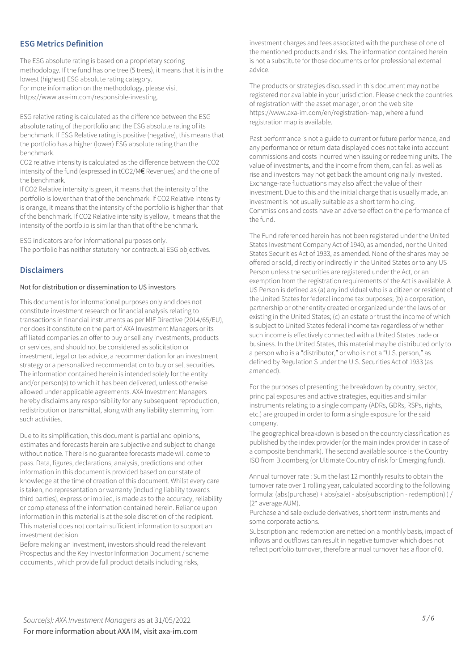#### **ESG Metrics Definition**

The ESG absolute rating is based on a proprietary scoring methodology. If the fund has one tree (5 trees), it means that it is in the lowest (highest) ESG absolute rating category. For more information on the methodology, please visit https://www.axa-im.com/responsible-investing.

ESG relative rating is calculated as the difference between the ESG absolute rating of the portfolio and the ESG absolute rating of its benchmark. If ESG Relative rating is positive (negative), this means that the portfolio has a higher (lower) ESG absolute rating than the benchmark.

CO2 relative intensity is calculated as the difference between the CO2 intensity of the fund (expressed in tCO2/M€ Revenues) and the one of the benchmark.

If CO2 Relative intensity is green, it means that the intensity of the portfolio is lower than that of the benchmark. If CO2 Relative intensity is orange, it means that the intensity of the portfolio is higher than that of the benchmark. If CO2 Relative intensity is yellow, it means that the intensity of the portfolio is similar than that of the benchmark.

ESG indicators are for informational purposes only. The portfolio has neither statutory nor contractual ESG objectives.

#### **Disclaimers**

#### Not for distribution or dissemination to US investors

This document is for informational purposes only and does not constitute investment research or financial analysis relating to transactions in financial instruments as per MIF Directive (2014/65/EU), nor does it constitute on the part of AXA Investment Managers or its affiliated companies an offer to buy or sell any investments, products or services, and should not be considered as solicitation or investment, legal or tax advice, a recommendation for an investment strategy or a personalized recommendation to buy or sell securities. The information contained herein is intended solely for the entity and/or person(s) to which it has been delivered, unless otherwise allowed under applicable agreements. AXA Investment Managers hereby disclaims any responsibility for any subsequent reproduction, redistribution or transmittal, along with any liability stemming from such activities.

Due to its simplification, this document is partial and opinions, estimates and forecasts herein are subjective and subject to change without notice. There is no guarantee forecasts made will come to pass. Data, figures, declarations, analysis, predictions and other information in this document is provided based on our state of knowledge at the time of creation of this document. Whilst every care is taken, no representation or warranty (including liability towards third parties), express or implied, is made as to the accuracy, reliability or completeness of the information contained herein. Reliance upon information in this material is at the sole discretion of the recipient. This material does not contain sufficient information to support an investment decision.

Before making an investment, investors should read the relevant Prospectus and the Key Investor Information Document / scheme documents , which provide full product details including risks,

investment charges and fees associated with the purchase of one of the mentioned products and risks. The information contained herein is not a substitute for those documents or for professional external advice.

The products or strategies discussed in this document may not be registered nor available in your jurisdiction. Please check the countries of registration with the asset manager, or on the web site https://www.axa-im.com/en/registration-map, where a fund registration map is available.

Past performance is not a guide to current or future performance, and any performance or return data displayed does not take into account commissions and costs incurred when issuing or redeeming units. The value of investments, and the income from them, can fall as well as rise and investors may not get back the amount originally invested. Exchange-rate fluctuations may also affect the value of their investment. Due to this and the initial charge that is usually made, an investment is not usually suitable as a short term holding. Commissions and costs have an adverse effect on the performance of the fund.

The Fund referenced herein has not been registered under the United States Investment Company Act of 1940, as amended, nor the United States Securities Act of 1933, as amended. None of the shares may be offered or sold, directly or indirectly in the United States or to any US Person unless the securities are registered under the Act, or an exemption from the registration requirements of the Act is available. A US Person is defined as (a) any individual who is a citizen or resident of the United States for federal income tax purposes; (b) a corporation, partnership or other entity created or organized under the laws of or existing in the United States; (c) an estate or trust the income of which is subject to United States federal income tax regardless of whether such income is effectively connected with a United States trade or business. In the United States, this material may be distributed only to a person who is a "distributor," or who is not a "U.S. person," as defined by Regulation S under the U.S. Securities Act of 1933 (as amended).

For the purposes of presenting the breakdown by country, sector, principal exposures and active strategies, equities and similar instruments relating to a single company (ADRs, GDRs, RSPs, rights, etc.) are grouped in order to form a single exposure for the said company.

The geographical breakdown is based on the country classification as published by the index provider (or the main index provider in case of a composite benchmark). The second available source is the Country ISO from Bloomberg (or Ultimate Country of risk for Emerging fund).

Annual turnover rate : Sum the last 12 monthly results to obtain the turnover rate over 1 rolling year, calculated according to the following formula: (abs(purchase) + abs(sale) - abs(subscription - redemption) ) / (2\* average AUM).

Purchase and sale exclude derivatives, short term instruments and some corporate actions.

Subscription and redemption are netted on a monthly basis, impact of inflows and outflows can result in negative turnover which does not reflect portfolio turnover, therefore annual turnover has a floor of 0.